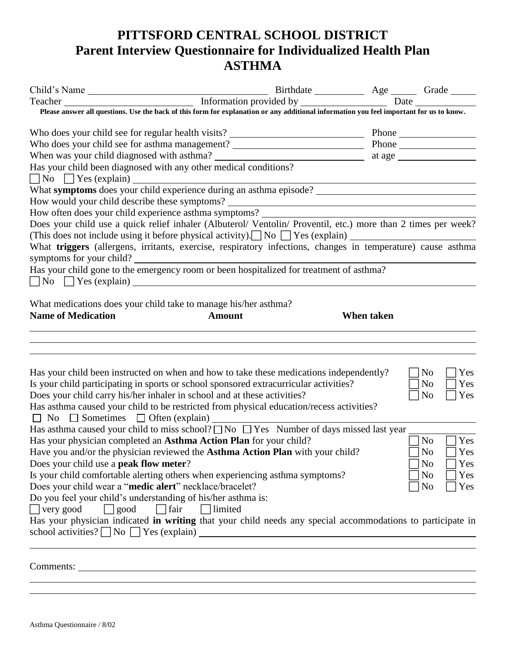## **PITTSFORD CENTRAL SCHOOL DISTRICT Parent Interview Questionnaire for Individualized Health Plan ASTHMA**

| Child's Name Birthdate Base answer all questions. Use the back of this form for explanation or any additional information you feel important for us to know.                        |            |  |                         |  |  |
|-------------------------------------------------------------------------------------------------------------------------------------------------------------------------------------|------------|--|-------------------------|--|--|
|                                                                                                                                                                                     |            |  |                         |  |  |
|                                                                                                                                                                                     |            |  |                         |  |  |
| Who does your child see for asthma management? _________________________________                                                                                                    |            |  | Phone                   |  |  |
| When was your child diagnosed with asthma?<br>Has your child been diagnosed with any other medical conditions?<br>Also your child been diagnosed with any other medical conditions? |            |  |                         |  |  |
|                                                                                                                                                                                     |            |  |                         |  |  |
| No S Yes (explain) What symptoms does your child experience during an asthma episode?                                                                                               |            |  |                         |  |  |
|                                                                                                                                                                                     |            |  |                         |  |  |
|                                                                                                                                                                                     |            |  |                         |  |  |
| Does your child use a quick relief inhaler (Albuterol/ Ventolin/ Proventil, etc.) more than 2 times per week?                                                                       |            |  |                         |  |  |
| (This does not include using it before physical activity). No T Yes (explain)                                                                                                       |            |  |                         |  |  |
| What triggers (allergens, irritants, exercise, respiratory infections, changes in temperature) cause asthma                                                                         |            |  |                         |  |  |
|                                                                                                                                                                                     |            |  |                         |  |  |
| symptoms for your child?<br>Has your child gone to the emergency room or been hospitalized for treatment of asthma?                                                                 |            |  |                         |  |  |
| $\n  No \n  Yes (explain) \n$                                                                                                                                                       |            |  |                         |  |  |
|                                                                                                                                                                                     |            |  |                         |  |  |
| What medications does your child take to manage his/her asthma?                                                                                                                     |            |  |                         |  |  |
| <b>Name of Medication</b><br><b>Amount</b>                                                                                                                                          | When taken |  |                         |  |  |
|                                                                                                                                                                                     |            |  |                         |  |  |
|                                                                                                                                                                                     |            |  |                         |  |  |
|                                                                                                                                                                                     |            |  |                         |  |  |
|                                                                                                                                                                                     |            |  |                         |  |  |
| Has your child been instructed on when and how to take these medications independently?                                                                                             |            |  | $\neg$ No<br>Yes        |  |  |
| Is your child participating in sports or school sponsored extracurricular activities?                                                                                               |            |  | No<br>Yes               |  |  |
| Does your child carry his/her inhaler in school and at these activities?                                                                                                            |            |  | $\log$<br>$\bigcap$ Yes |  |  |
| Has asthma caused your child to be restricted from physical education/recess activities?                                                                                            |            |  |                         |  |  |
| $\Box$ No $\Box$ Sometimes $\Box$ Often (explain)                                                                                                                                   |            |  |                         |  |  |
| Has asthma caused your child to miss school? $\Box$ No $\Box$ Yes Number of days missed last year                                                                                   |            |  |                         |  |  |
| Has your physician completed an Asthma Action Plan for your child?                                                                                                                  |            |  | Yes<br>  No             |  |  |
| Have you and/or the physician reviewed the <b>Asthma Action Plan</b> with your child?                                                                                               |            |  | $\Box$ No<br>$\Box$ Yes |  |  |
| Does your child use a <b>peak flow meter</b> ?                                                                                                                                      |            |  | Yes<br>No               |  |  |
| Is your child comfortable alerting others when experiencing asthma symptoms?                                                                                                        |            |  | No<br>Yes               |  |  |
| Does your child wear a "medic alert" necklace/bracelet?                                                                                                                             |            |  | N <sub>o</sub><br>Yes   |  |  |
| Do you feel your child's understanding of his/her asthma is:                                                                                                                        |            |  |                         |  |  |
| $\Box$ very good<br>$\Box$ fair<br>$\Box$ limited                                                                                                                                   |            |  |                         |  |  |
| $\Box$ good                                                                                                                                                                         |            |  |                         |  |  |
| Has your physician indicated in writing that your child needs any special accommodations to participate in                                                                          |            |  |                         |  |  |
| school activities? $\Box$ No $\Box$ Yes (explain)                                                                                                                                   |            |  |                         |  |  |
|                                                                                                                                                                                     |            |  |                         |  |  |
|                                                                                                                                                                                     |            |  |                         |  |  |
|                                                                                                                                                                                     |            |  |                         |  |  |
|                                                                                                                                                                                     |            |  |                         |  |  |